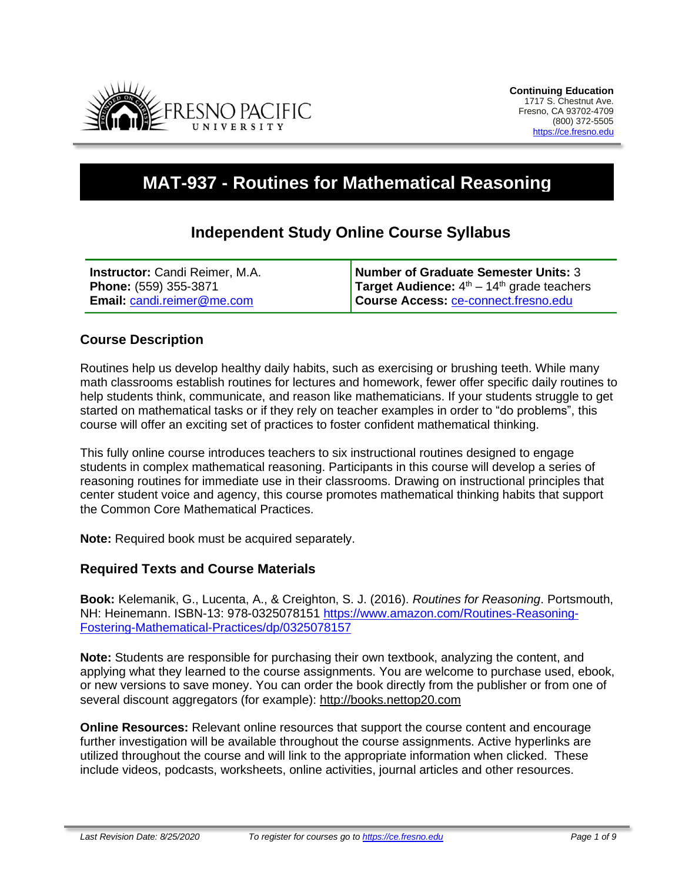

# **MAT-937 - Routines for Mathematical Reasoning**

# **Independent Study Online Course Syllabus**

| <b>Instructor:</b> Candi Reimer, M.A. | Number of Graduate Semester Units: 3                |
|---------------------------------------|-----------------------------------------------------|
| <b>Phone:</b> (559) 355-3871          | <b>Target Audience:</b> $4th - 14th$ grade teachers |
| <b>Email: candi.reimer@me.com</b>     | Course Access: ce-connect.fresno.edu                |

## **Course Description**

Routines help us develop healthy daily habits, such as exercising or brushing teeth. While many math classrooms establish routines for lectures and homework, fewer offer specific daily routines to help students think, communicate, and reason like mathematicians. If your students struggle to get started on mathematical tasks or if they rely on teacher examples in order to "do problems", this course will offer an exciting set of practices to foster confident mathematical thinking.

This fully online course introduces teachers to six instructional routines designed to engage students in complex mathematical reasoning. Participants in this course will develop a series of reasoning routines for immediate use in their classrooms. Drawing on instructional principles that center student voice and agency, this course promotes mathematical thinking habits that support the Common Core Mathematical Practices.

**Note:** Required book must be acquired separately.

#### **Required Texts and Course Materials**

**Book:** Kelemanik, G., Lucenta, A., & Creighton, S. J. (2016). *Routines for Reasoning*. Portsmouth, NH: Heinemann. ISBN-13: 978-0325078151 https://www.amazon.com/Routines-Reasoning-Fostering-Mathematical-Practices/dp/0325078157

**Note:** Students are responsible for purchasing their own textbook, analyzing the content, and applying what they learned to the course assignments. You are welcome to purchase used, ebook, or new versions to save money. You can order the book directly from the publisher or from one of several discount aggregators (for example): [http://books.nettop20.com](http://books.nettop20.com/)

**Online Resources:** Relevant online resources that support the course content and encourage further investigation will be available throughout the course assignments. Active hyperlinks are utilized throughout the course and will link to the appropriate information when clicked. These include videos, podcasts, worksheets, online activities, journal articles and other resources.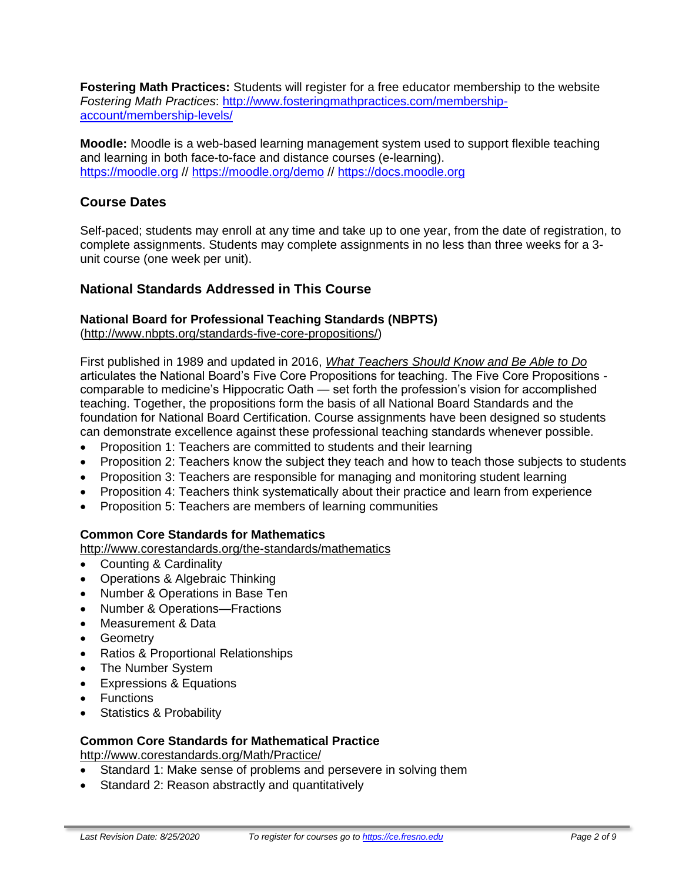**Fostering Math Practices:** Students will register for a free educator membership to the website *Fostering Math Practices*: http://www.fosteringmathpractices.com/membershipaccount/membership-levels/

**Moodle:** Moodle is a web-based learning management system used to support flexible teaching and learning in both face-to-face and distance courses (e-learning). [https://moodle.org](https://moodle.org/) // <https://moodle.org/demo> // [https://docs.moodle.org](https://docs.moodle.org/)

# **Course Dates**

Self-paced; students may enroll at any time and take up to one year, from the date of registration, to complete assignments. Students may complete assignments in no less than three weeks for a 3 unit course (one week per unit).

## **National Standards Addressed in This Course**

# **National Board for Professional Teaching Standards (NBPTS)**

[\(http://www.nbpts.org/standards-five-core-propositions/\)](http://www.nbpts.org/standards-five-core-propositions/)

First published in 1989 and updated in 2016, *[What Teachers Should Know and Be Able to Do](http://www.accomplishedteacher.org/)* articulates the National Board's Five Core Propositions for teaching. The Five Core Propositions comparable to medicine's Hippocratic Oath — set forth the profession's vision for accomplished teaching. Together, the propositions form the basis of all National Board Standards and the foundation for National Board Certification. Course assignments have been designed so students can demonstrate excellence against these professional teaching standards whenever possible.

- Proposition 1: Teachers are committed to students and their learning
- Proposition 2: Teachers know the subject they teach and how to teach those subjects to students
- Proposition 3: Teachers are responsible for managing and monitoring student learning
- Proposition 4: Teachers think systematically about their practice and learn from experience
- Proposition 5: Teachers are members of learning communities

#### **Common Core Standards for Mathematics**

[http://www.corestandards.org/the-standards/mathematics](http://www.corestandards.org/Math/Content/mathematics-glossary/)

- Counting & Cardinality
- Operations & Algebraic Thinking
- Number & Operations in Base Ten
- Number & Operations—Fractions
- Measurement & Data
- Geometry
- Ratios & Proportional Relationships
- The Number System
- Expressions & Equations
- Functions
- Statistics & Probability

#### **Common Core Standards for Mathematical Practice**

<http://www.corestandards.org/Math/Practice/>

- Standard 1: Make sense of problems and persevere in solving them
- Standard 2: Reason abstractly and quantitatively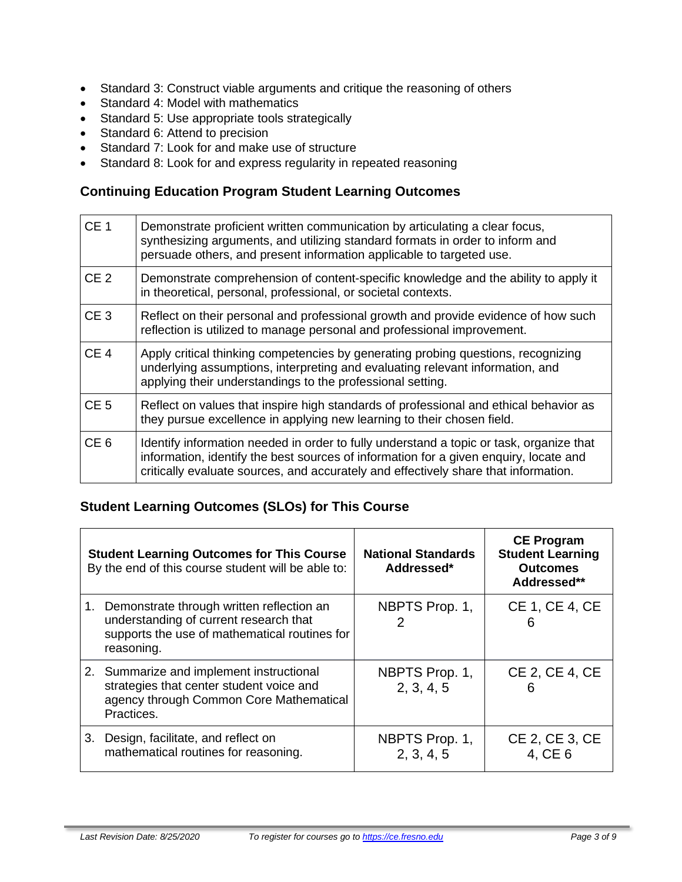- Standard 3: Construct viable arguments and critique the reasoning of others
- Standard 4: Model with mathematics
- Standard 5: Use appropriate tools strategically
- Standard 6: Attend to precision
- Standard 7: Look for and make use of structure
- Standard 8: Look for and express regularity in repeated reasoning

# **Continuing Education Program Student Learning Outcomes**

| CE <sub>1</sub> | Demonstrate proficient written communication by articulating a clear focus,<br>synthesizing arguments, and utilizing standard formats in order to inform and<br>persuade others, and present information applicable to targeted use.                                    |
|-----------------|-------------------------------------------------------------------------------------------------------------------------------------------------------------------------------------------------------------------------------------------------------------------------|
| CE <sub>2</sub> | Demonstrate comprehension of content-specific knowledge and the ability to apply it<br>in theoretical, personal, professional, or societal contexts.                                                                                                                    |
| CE <sub>3</sub> | Reflect on their personal and professional growth and provide evidence of how such<br>reflection is utilized to manage personal and professional improvement.                                                                                                           |
| CE <sub>4</sub> | Apply critical thinking competencies by generating probing questions, recognizing<br>underlying assumptions, interpreting and evaluating relevant information, and<br>applying their understandings to the professional setting.                                        |
| CE <sub>5</sub> | Reflect on values that inspire high standards of professional and ethical behavior as<br>they pursue excellence in applying new learning to their chosen field.                                                                                                         |
| CE <sub>6</sub> | Identify information needed in order to fully understand a topic or task, organize that<br>information, identify the best sources of information for a given enquiry, locate and<br>critically evaluate sources, and accurately and effectively share that information. |

# **Student Learning Outcomes (SLOs) for This Course**

| <b>Student Learning Outcomes for This Course</b><br>By the end of this course student will be able to:                                                | <b>National Standards</b><br>Addressed* | <b>CE Program</b><br><b>Student Learning</b><br><b>Outcomes</b><br>Addressed** |
|-------------------------------------------------------------------------------------------------------------------------------------------------------|-----------------------------------------|--------------------------------------------------------------------------------|
| 1. Demonstrate through written reflection an<br>understanding of current research that<br>supports the use of mathematical routines for<br>reasoning. | NBPTS Prop. 1,                          | CE 1, CE 4, CE<br>6                                                            |
| 2. Summarize and implement instructional<br>strategies that center student voice and<br>agency through Common Core Mathematical<br>Practices.         | NBPTS Prop. 1,<br>2, 3, 4, 5            | CE 2, CE 4, CE<br>6                                                            |
| 3. Design, facilitate, and reflect on<br>mathematical routines for reasoning.                                                                         | NBPTS Prop. 1,<br>2, 3, 4, 5            | CE 2, CE 3, CE<br>4, CE 6                                                      |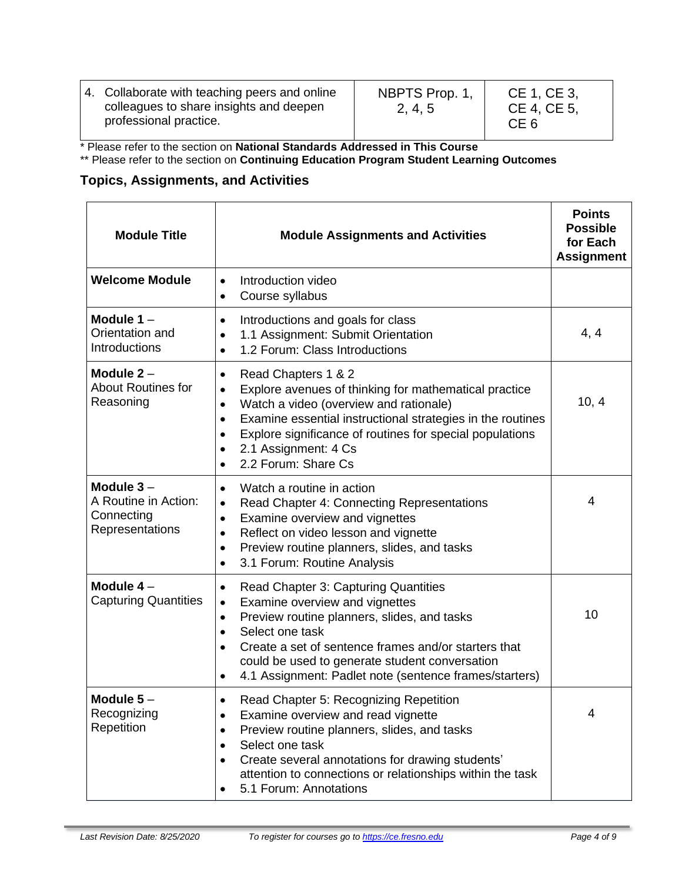| 4. Collaborate with teaching peers and online<br>colleagues to share insights and deepen<br>professional practice. | NBPTS Prop. 1,<br>2, 4, 5 | CE 1, CE 3,<br>CE 4, CE 5,<br>CE <sub>6</sub> |
|--------------------------------------------------------------------------------------------------------------------|---------------------------|-----------------------------------------------|
|--------------------------------------------------------------------------------------------------------------------|---------------------------|-----------------------------------------------|

\* Please refer to the section on **National Standards Addressed in This Course**

\*\* Please refer to the section on **Continuing Education Program Student Learning Outcomes**

# **Topics, Assignments, and Activities**

| <b>Module Title</b>                                                  | <b>Module Assignments and Activities</b>                                                                                                                                                                                                                                                                                                                             | <b>Points</b><br><b>Possible</b><br>for Each<br><b>Assignment</b> |
|----------------------------------------------------------------------|----------------------------------------------------------------------------------------------------------------------------------------------------------------------------------------------------------------------------------------------------------------------------------------------------------------------------------------------------------------------|-------------------------------------------------------------------|
| <b>Welcome Module</b>                                                | Introduction video<br>$\bullet$<br>Course syllabus<br>$\bullet$                                                                                                                                                                                                                                                                                                      |                                                                   |
| Module $1 -$<br>Orientation and<br>Introductions                     | Introductions and goals for class<br>$\bullet$<br>1.1 Assignment: Submit Orientation<br>$\bullet$<br>1.2 Forum: Class Introductions<br>$\bullet$                                                                                                                                                                                                                     | 4, 4                                                              |
| Module $2 -$<br><b>About Routines for</b><br>Reasoning               | Read Chapters 1 & 2<br>٠<br>Explore avenues of thinking for mathematical practice<br>$\bullet$<br>Watch a video (overview and rationale)<br>$\bullet$<br>Examine essential instructional strategies in the routines<br>$\bullet$<br>Explore significance of routines for special populations<br>2.1 Assignment: 4 Cs<br>2.2 Forum: Share Cs<br>$\bullet$             | 10, 4                                                             |
| Module $3-$<br>A Routine in Action:<br>Connecting<br>Representations | Watch a routine in action<br>$\bullet$<br>Read Chapter 4: Connecting Representations<br>$\bullet$<br>Examine overview and vignettes<br>$\bullet$<br>Reflect on video lesson and vignette<br>$\bullet$<br>Preview routine planners, slides, and tasks<br>$\bullet$<br>3.1 Forum: Routine Analysis<br>$\bullet$                                                        | 4                                                                 |
| Module $4-$<br><b>Capturing Quantities</b>                           | <b>Read Chapter 3: Capturing Quantities</b><br>٠<br>Examine overview and vignettes<br>$\bullet$<br>Preview routine planners, slides, and tasks<br>$\bullet$<br>Select one task<br>$\bullet$<br>Create a set of sentence frames and/or starters that<br>could be used to generate student conversation<br>4.1 Assignment: Padlet note (sentence frames/starters)<br>٠ | 10                                                                |
| Module 5<br>Recognizing<br>Repetition                                | Read Chapter 5: Recognizing Repetition<br>Examine overview and read vignette<br>$\bullet$<br>Preview routine planners, slides, and tasks<br>$\bullet$<br>Select one task<br>$\bullet$<br>Create several annotations for drawing students'<br>$\bullet$<br>attention to connections or relationships within the task<br>5.1 Forum: Annotations                        | 4                                                                 |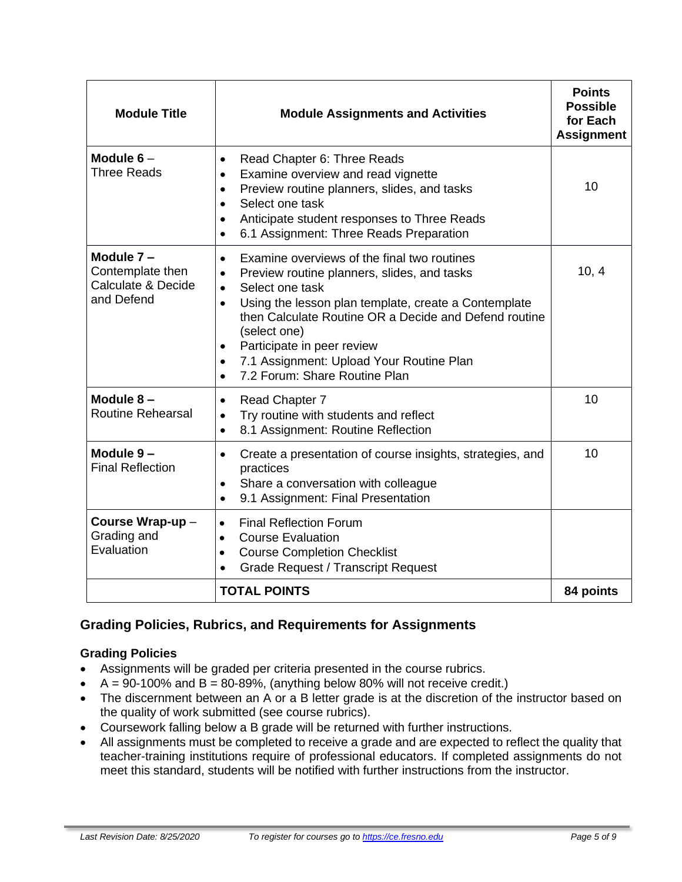| <b>Module Title</b>                                               | <b>Module Assignments and Activities</b>                                                                                                                                                                                                                                                                                                                                                                                                             | <b>Points</b><br><b>Possible</b><br>for Each<br><b>Assignment</b> |
|-------------------------------------------------------------------|------------------------------------------------------------------------------------------------------------------------------------------------------------------------------------------------------------------------------------------------------------------------------------------------------------------------------------------------------------------------------------------------------------------------------------------------------|-------------------------------------------------------------------|
| Module $6-$<br><b>Three Reads</b>                                 | Read Chapter 6: Three Reads<br>$\bullet$<br>Examine overview and read vignette<br>$\bullet$<br>Preview routine planners, slides, and tasks<br>$\bullet$<br>Select one task<br>$\bullet$<br>Anticipate student responses to Three Reads<br>$\bullet$<br>6.1 Assignment: Three Reads Preparation<br>$\bullet$                                                                                                                                          | 10                                                                |
| Module 7-<br>Contemplate then<br>Calculate & Decide<br>and Defend | Examine overviews of the final two routines<br>$\bullet$<br>Preview routine planners, slides, and tasks<br>$\bullet$<br>Select one task<br>$\bullet$<br>Using the lesson plan template, create a Contemplate<br>$\bullet$<br>then Calculate Routine OR a Decide and Defend routine<br>(select one)<br>Participate in peer review<br>$\bullet$<br>7.1 Assignment: Upload Your Routine Plan<br>$\bullet$<br>7.2 Forum: Share Routine Plan<br>$\bullet$ | 10, 4                                                             |
| Module $8-$<br><b>Routine Rehearsal</b>                           | Read Chapter 7<br>$\bullet$<br>Try routine with students and reflect<br>$\bullet$<br>8.1 Assignment: Routine Reflection<br>$\bullet$                                                                                                                                                                                                                                                                                                                 | 10                                                                |
| Module 9-<br><b>Final Reflection</b>                              | Create a presentation of course insights, strategies, and<br>$\bullet$<br>practices<br>Share a conversation with colleague<br>$\bullet$<br>9.1 Assignment: Final Presentation<br>$\bullet$                                                                                                                                                                                                                                                           | 10                                                                |
| Course Wrap-up -<br>Grading and<br>Evaluation                     | <b>Final Reflection Forum</b><br>$\bullet$<br><b>Course Evaluation</b><br>$\bullet$<br><b>Course Completion Checklist</b><br>$\bullet$<br><b>Grade Request / Transcript Request</b><br>$\bullet$                                                                                                                                                                                                                                                     |                                                                   |
|                                                                   | <b>TOTAL POINTS</b>                                                                                                                                                                                                                                                                                                                                                                                                                                  | 84 points                                                         |

# **Grading Policies, Rubrics, and Requirements for Assignments**

#### **Grading Policies**

- Assignments will be graded per criteria presented in the course rubrics.
- $A = 90-100\%$  and  $B = 80-89\%$ , (anything below 80% will not receive credit.)
- The discernment between an A or a B letter grade is at the discretion of the instructor based on the quality of work submitted (see course rubrics).
- Coursework falling below a B grade will be returned with further instructions.
- All assignments must be completed to receive a grade and are expected to reflect the quality that teacher-training institutions require of professional educators. If completed assignments do not meet this standard, students will be notified with further instructions from the instructor.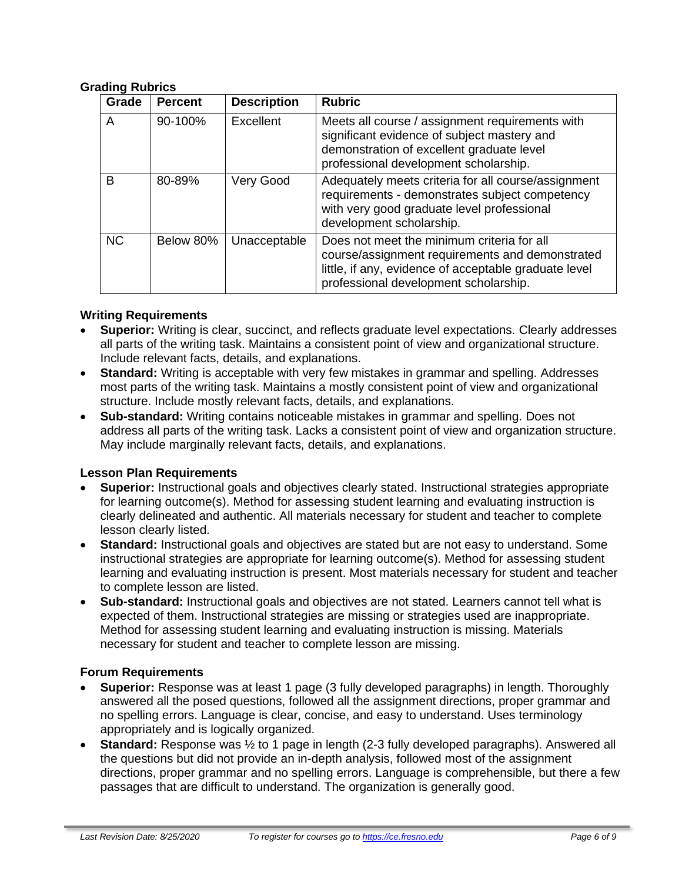#### **Grading Rubrics**

| Grade     | <b>Percent</b> | <b>Description</b> | <b>Rubric</b>                                                                                                                                                                                   |
|-----------|----------------|--------------------|-------------------------------------------------------------------------------------------------------------------------------------------------------------------------------------------------|
| A         | 90-100%        | Excellent          | Meets all course / assignment requirements with<br>significant evidence of subject mastery and<br>demonstration of excellent graduate level<br>professional development scholarship.            |
| B         | 80-89%         | Very Good          | Adequately meets criteria for all course/assignment<br>requirements - demonstrates subject competency<br>with very good graduate level professional<br>development scholarship.                 |
| <b>NC</b> | Below 80%      | Unacceptable       | Does not meet the minimum criteria for all<br>course/assignment requirements and demonstrated<br>little, if any, evidence of acceptable graduate level<br>professional development scholarship. |

#### **Writing Requirements**

- **Superior:** Writing is clear, succinct, and reflects graduate level expectations. Clearly addresses all parts of the writing task. Maintains a consistent point of view and organizational structure. Include relevant facts, details, and explanations.
- **Standard:** Writing is acceptable with very few mistakes in grammar and spelling. Addresses most parts of the writing task. Maintains a mostly consistent point of view and organizational structure. Include mostly relevant facts, details, and explanations.
- **Sub-standard:** Writing contains noticeable mistakes in grammar and spelling. Does not address all parts of the writing task. Lacks a consistent point of view and organization structure. May include marginally relevant facts, details, and explanations.

#### **Lesson Plan Requirements**

- **Superior:** Instructional goals and objectives clearly stated. Instructional strategies appropriate for learning outcome(s). Method for assessing student learning and evaluating instruction is clearly delineated and authentic. All materials necessary for student and teacher to complete lesson clearly listed.
- **Standard:** Instructional goals and objectives are stated but are not easy to understand. Some instructional strategies are appropriate for learning outcome(s). Method for assessing student learning and evaluating instruction is present. Most materials necessary for student and teacher to complete lesson are listed.
- **Sub-standard:** Instructional goals and objectives are not stated. Learners cannot tell what is expected of them. Instructional strategies are missing or strategies used are inappropriate. Method for assessing student learning and evaluating instruction is missing. Materials necessary for student and teacher to complete lesson are missing.

#### **Forum Requirements**

- **Superior:** Response was at least 1 page (3 fully developed paragraphs) in length. Thoroughly answered all the posed questions, followed all the assignment directions, proper grammar and no spelling errors. Language is clear, concise, and easy to understand. Uses terminology appropriately and is logically organized.
- **Standard:** Response was ½ to 1 page in length (2-3 fully developed paragraphs). Answered all the questions but did not provide an in-depth analysis, followed most of the assignment directions, proper grammar and no spelling errors. Language is comprehensible, but there a few passages that are difficult to understand. The organization is generally good.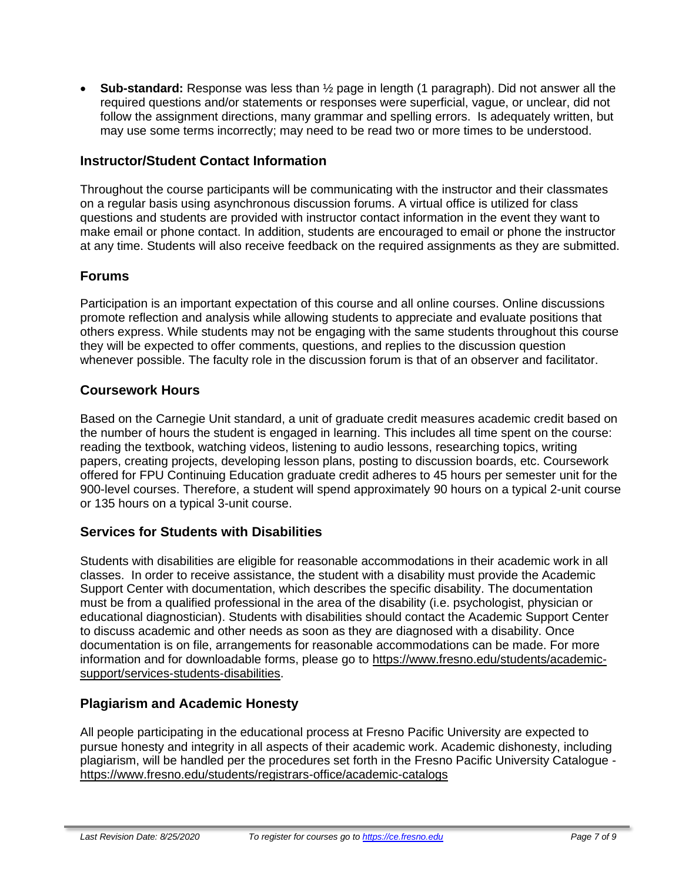• **Sub-standard:** Response was less than ½ page in length (1 paragraph). Did not answer all the required questions and/or statements or responses were superficial, vague, or unclear, did not follow the assignment directions, many grammar and spelling errors. Is adequately written, but may use some terms incorrectly; may need to be read two or more times to be understood.

## **Instructor/Student Contact Information**

Throughout the course participants will be communicating with the instructor and their classmates on a regular basis using asynchronous discussion forums. A virtual office is utilized for class questions and students are provided with instructor contact information in the event they want to make email or phone contact. In addition, students are encouraged to email or phone the instructor at any time. Students will also receive feedback on the required assignments as they are submitted.

## **Forums**

Participation is an important expectation of this course and all online courses. Online discussions promote reflection and analysis while allowing students to appreciate and evaluate positions that others express. While students may not be engaging with the same students throughout this course they will be expected to offer comments, questions, and replies to the discussion question whenever possible. The faculty role in the discussion forum is that of an observer and facilitator.

## **Coursework Hours**

Based on the Carnegie Unit standard, a unit of graduate credit measures academic credit based on the number of hours the student is engaged in learning. This includes all time spent on the course: reading the textbook, watching videos, listening to audio lessons, researching topics, writing papers, creating projects, developing lesson plans, posting to discussion boards, etc. Coursework offered for FPU Continuing Education graduate credit adheres to 45 hours per semester unit for the 900-level courses. Therefore, a student will spend approximately 90 hours on a typical 2-unit course or 135 hours on a typical 3-unit course.

## **Services for Students with Disabilities**

Students with disabilities are eligible for reasonable accommodations in their academic work in all classes. In order to receive assistance, the student with a disability must provide the Academic Support Center with documentation, which describes the specific disability. The documentation must be from a qualified professional in the area of the disability (i.e. psychologist, physician or educational diagnostician). Students with disabilities should contact the Academic Support Center to discuss academic and other needs as soon as they are diagnosed with a disability. Once documentation is on file, arrangements for reasonable accommodations can be made. For more information and for downloadable forms, please go to [https://www.fresno.edu/students/academic](https://www.fresno.edu/students/academic-support/services-students-disabilities)[support/services-students-disabilities.](https://www.fresno.edu/students/academic-support/services-students-disabilities)

## **Plagiarism and Academic Honesty**

All people participating in the educational process at Fresno Pacific University are expected to pursue honesty and integrity in all aspects of their academic work. Academic dishonesty, including plagiarism, will be handled per the procedures set forth in the Fresno Pacific University Catalogue <https://www.fresno.edu/students/registrars-office/academic-catalogs>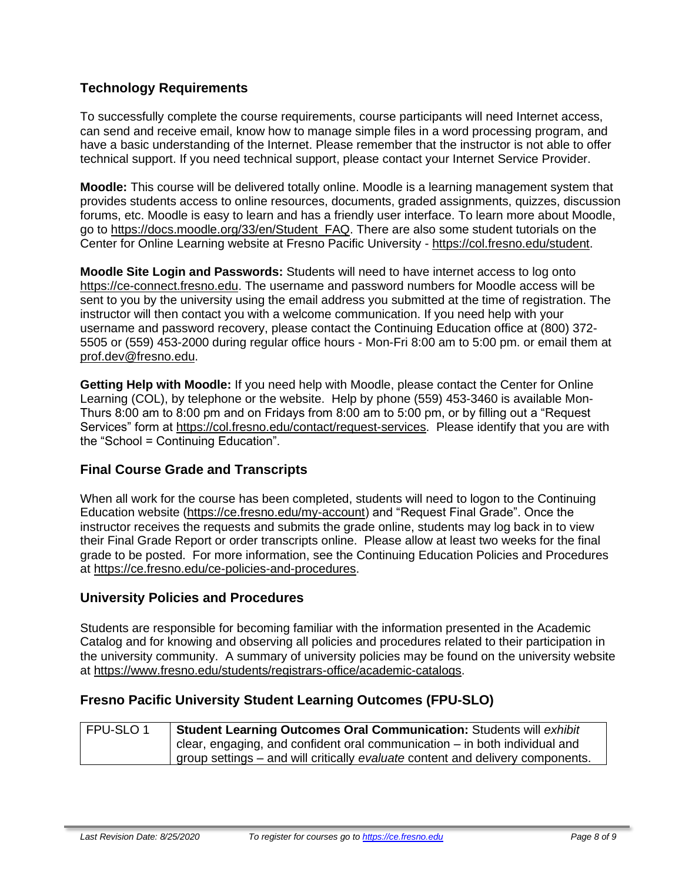# **Technology Requirements**

To successfully complete the course requirements, course participants will need Internet access, can send and receive email, know how to manage simple files in a word processing program, and have a basic understanding of the Internet. Please remember that the instructor is not able to offer technical support. If you need technical support, please contact your Internet Service Provider.

**Moodle:** This course will be delivered totally online. Moodle is a learning management system that provides students access to online resources, documents, graded assignments, quizzes, discussion forums, etc. Moodle is easy to learn and has a friendly user interface. To learn more about Moodle, go to [https://docs.moodle.org/33/en/Student\\_FAQ.](https://docs.moodle.org/33/en/Student_FAQ) There are also some student tutorials on the Center for Online Learning website at Fresno Pacific University - [https://col.fresno.edu/student.](https://col.fresno.edu/student)

**Moodle Site Login and Passwords:** Students will need to have internet access to log onto [https://ce-connect.fresno.edu.](https://ce-connect.fresno.edu/) The username and password numbers for Moodle access will be sent to you by the university using the email address you submitted at the time of registration. The instructor will then contact you with a welcome communication. If you need help with your username and password recovery, please contact the Continuing Education office at (800) 372- 5505 or (559) 453-2000 during regular office hours - Mon-Fri 8:00 am to 5:00 pm. or email them at [prof.dev@fresno.edu.](mailto:prof.dev@fresno.edu)

**Getting Help with Moodle:** If you need help with Moodle, please contact the Center for Online Learning (COL), by telephone or the website. Help by phone (559) 453-3460 is available Mon-Thurs 8:00 am to 8:00 pm and on Fridays from 8:00 am to 5:00 pm, or by filling out a "Request Services" form at [https://col.fresno.edu/contact/request-services.](https://col.fresno.edu/contact/request-services) Please identify that you are with the "School = Continuing Education".

## **Final Course Grade and Transcripts**

When all work for the course has been completed, students will need to logon to the Continuing Education website [\(https://ce.fresno.edu/my-account\)](https://ce.fresno.edu/my-account) and "Request Final Grade". Once the instructor receives the requests and submits the grade online, students may log back in to view their Final Grade Report or order transcripts online. Please allow at least two weeks for the final grade to be posted. For more information, see the Continuing Education Policies and Procedures at [https://ce.fresno.edu/ce-policies-and-procedures.](https://ce.fresno.edu/ce-policies-and-procedures)

#### **University Policies and Procedures**

Students are responsible for becoming familiar with the information presented in the Academic Catalog and for knowing and observing all policies and procedures related to their participation in the university community. A summary of university policies may be found on the university website at [https://www.fresno.edu/students/registrars-office/academic-catalogs.](https://www.fresno.edu/students/registrars-office/academic-catalogs)

#### **Fresno Pacific University Student Learning Outcomes (FPU-SLO)**

| FPU-SLO1 | <b>Student Learning Outcomes Oral Communication: Students will exhibit</b>     |
|----------|--------------------------------------------------------------------------------|
|          | clear, engaging, and confident oral communication $-$ in both individual and   |
|          | group settings – and will critically evaluate content and delivery components. |